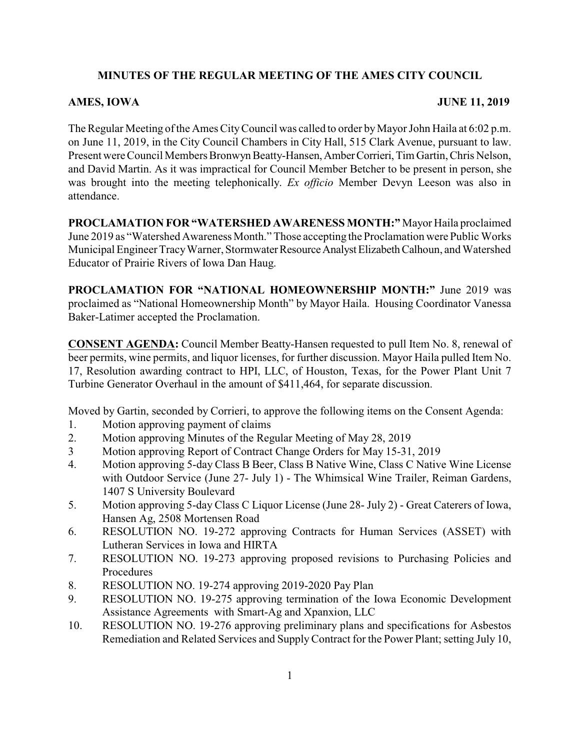## **MINUTES OF THE REGULAR MEETING OF THE AMES CITY COUNCIL**

## **AMES, IOWA JUNE 11, 2019**

The Regular Meeting of the Ames City Council was called to order by Mayor John Haila at 6:02 p.m. on June 11, 2019, in the City Council Chambers in City Hall, 515 Clark Avenue, pursuant to law. Present were Council Members Bronwyn Beatty-Hansen, Amber Corrieri, Tim Gartin, Chris Nelson, and David Martin. As it was impractical for Council Member Betcher to be present in person, she was brought into the meeting telephonically. *Ex officio* Member Devyn Leeson was also in attendance.

**PROCLAMATION FOR "WATERSHED AWARENESS MONTH:"** Mayor Haila proclaimed June 2019 as "Watershed Awareness Month." Those accepting the Proclamation were Public Works Municipal Engineer Tracy Warner, Stormwater Resource Analyst Elizabeth Calhoun, and Watershed Educator of Prairie Rivers of Iowa Dan Haug.

**PROCLAMATION FOR "NATIONAL HOMEOWNERSHIP MONTH:"** June 2019 was proclaimed as "National Homeownership Month" by Mayor Haila. Housing Coordinator Vanessa Baker-Latimer accepted the Proclamation.

**CONSENT AGENDA:** Council Member Beatty-Hansen requested to pull Item No. 8, renewal of beer permits, wine permits, and liquor licenses, for further discussion. Mayor Haila pulled Item No. 17, Resolution awarding contract to HPI, LLC, of Houston, Texas, for the Power Plant Unit 7 Turbine Generator Overhaul in the amount of \$411,464, for separate discussion.

Moved by Gartin, seconded by Corrieri, to approve the following items on the Consent Agenda:

- 1. Motion approving payment of claims
- 2. Motion approving Minutes of the Regular Meeting of May 28, 2019
- 3 Motion approving Report of Contract Change Orders for May 15-31, 2019
- 4. Motion approving 5-day Class B Beer, Class B Native Wine, Class C Native Wine License with Outdoor Service (June 27- July 1) - The Whimsical Wine Trailer, Reiman Gardens, 1407 S University Boulevard
- 5. Motion approving 5-day Class C Liquor License (June 28- July 2) Great Caterers of Iowa, Hansen Ag, 2508 Mortensen Road
- 6. RESOLUTION NO. 19-272 approving Contracts for Human Services (ASSET) with Lutheran Services in Iowa and HIRTA
- 7. RESOLUTION NO. 19-273 approving proposed revisions to Purchasing Policies and Procedures
- 8. RESOLUTION NO. 19-274 approving 2019-2020 Pay Plan
- 9. RESOLUTION NO. 19-275 approving termination of the Iowa Economic Development Assistance Agreements with Smart-Ag and Xpanxion, LLC
- 10. RESOLUTION NO. 19-276 approving preliminary plans and specifications for Asbestos Remediation and Related Services and SupplyContract for the Power Plant; setting July 10,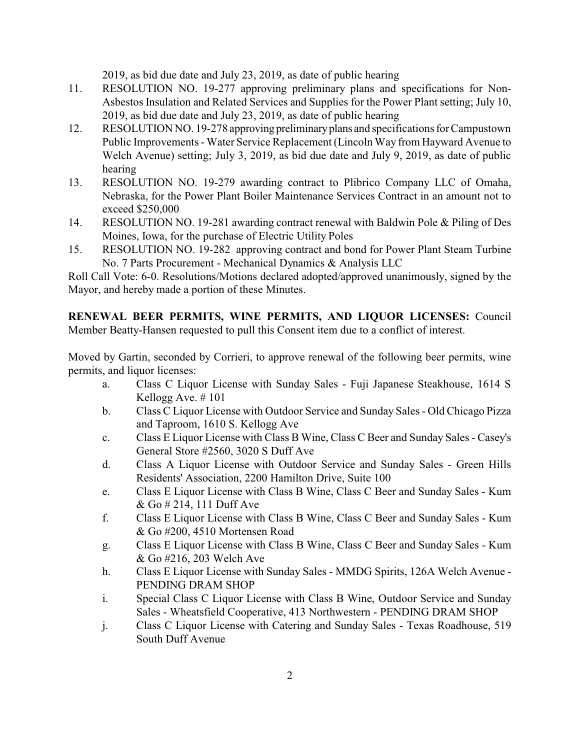2019, as bid due date and July 23, 2019, as date of public hearing

- 11. RESOLUTION NO. 19-277 approving preliminary plans and specifications for Non-Asbestos Insulation and Related Services and Supplies for the Power Plant setting; July 10, 2019, as bid due date and July 23, 2019, as date of public hearing
- 12. RESOLUTION NO. 19-278 approvingpreliminaryplans and specifications for Campustown Public Improvements - Water Service Replacement (Lincoln Way from Hayward Avenue to Welch Avenue) setting; July 3, 2019, as bid due date and July 9, 2019, as date of public hearing
- 13. RESOLUTION NO. 19-279 awarding contract to Plibrico Company LLC of Omaha, Nebraska, for the Power Plant Boiler Maintenance Services Contract in an amount not to exceed \$250,000
- 14. RESOLUTION NO. 19-281 awarding contract renewal with Baldwin Pole & Piling of Des Moines, Iowa, for the purchase of Electric Utility Poles
- 15. RESOLUTION NO. 19-282 approving contract and bond for Power Plant Steam Turbine No. 7 Parts Procurement - Mechanical Dynamics & Analysis LLC

Roll Call Vote: 6-0. Resolutions/Motions declared adopted/approved unanimously, signed by the Mayor, and hereby made a portion of these Minutes.

**RENEWAL BEER PERMITS, WINE PERMITS, AND LIQUOR LICENSES:** Council Member Beatty-Hansen requested to pull this Consent item due to a conflict of interest.

Moved by Gartin, seconded by Corrieri, to approve renewal of the following beer permits, wine permits, and liquor licenses:

- a. Class C Liquor License with Sunday Sales Fuji Japanese Steakhouse, 1614 S Kellogg Ave. # 101
- b. Class C Liquor License with Outdoor Service and Sunday Sales Old Chicago Pizza and Taproom, 1610 S. Kellogg Ave
- c. Class E Liquor License with Class B Wine, Class C Beer and Sunday Sales Casey's General Store #2560, 3020 S Duff Ave
- d. Class A Liquor License with Outdoor Service and Sunday Sales Green Hills Residents' Association, 2200 Hamilton Drive, Suite 100
- e. Class E Liquor License with Class B Wine, Class C Beer and Sunday Sales Kum & Go # 214, 111 Duff Ave
- f. Class E Liquor License with Class B Wine, Class C Beer and Sunday Sales Kum & Go #200, 4510 Mortensen Road
- g. Class E Liquor License with Class B Wine, Class C Beer and Sunday Sales Kum & Go #216, 203 Welch Ave
- h. Class E Liquor License with Sunday Sales MMDG Spirits, 126A Welch Avenue PENDING DRAM SHOP
- i. Special Class C Liquor License with Class B Wine, Outdoor Service and Sunday Sales - Wheatsfield Cooperative, 413 Northwestern - PENDING DRAM SHOP
- j. Class C Liquor License with Catering and Sunday Sales Texas Roadhouse, 519 South Duff Avenue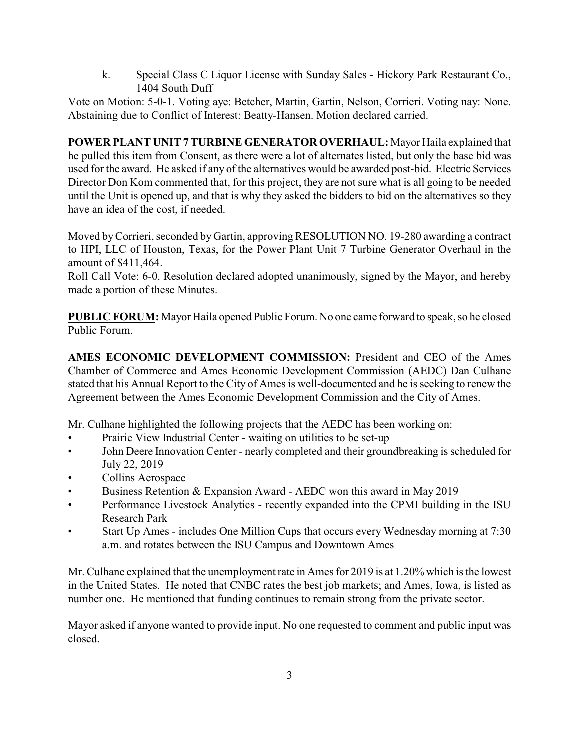k. Special Class C Liquor License with Sunday Sales - Hickory Park Restaurant Co., 1404 South Duff

Vote on Motion: 5-0-1. Voting aye: Betcher, Martin, Gartin, Nelson, Corrieri. Voting nay: None. Abstaining due to Conflict of Interest: Beatty-Hansen. Motion declared carried.

**POWER PLANT UNIT 7 TURBINE GENERATOR OVERHAUL:** Mayor Haila explained that he pulled this item from Consent, as there were a lot of alternates listed, but only the base bid was used for the award. He asked if any of the alternatives would be awarded post-bid. Electric Services Director Don Kom commented that, for this project, they are not sure what is all going to be needed until the Unit is opened up, and that is why they asked the bidders to bid on the alternatives so they have an idea of the cost, if needed.

Moved byCorrieri, seconded by Gartin, approvingRESOLUTION NO. 19-280 awarding a contract to HPI, LLC of Houston, Texas, for the Power Plant Unit 7 Turbine Generator Overhaul in the amount of \$411,464.

Roll Call Vote: 6-0. Resolution declared adopted unanimously, signed by the Mayor, and hereby made a portion of these Minutes.

**PUBLIC FORUM:** Mayor Haila opened Public Forum. No one came forward to speak, so he closed Public Forum.

**AMES ECONOMIC DEVELOPMENT COMMISSION:** President and CEO of the Ames Chamber of Commerce and Ames Economic Development Commission (AEDC) Dan Culhane stated that his Annual Report to the City of Ames is well-documented and he is seeking to renew the Agreement between the Ames Economic Development Commission and the City of Ames.

Mr. Culhane highlighted the following projects that the AEDC has been working on:

- Prairie View Industrial Center waiting on utilities to be set-up
- John Deere Innovation Center nearly completed and their groundbreaking is scheduled for July 22, 2019
- Collins Aerospace
- Business Retention & Expansion Award AEDC won this award in May 2019
- Performance Livestock Analytics recently expanded into the CPMI building in the ISU Research Park
- Start Up Ames includes One Million Cups that occurs every Wednesday morning at 7:30 a.m. and rotates between the ISU Campus and Downtown Ames

Mr. Culhane explained that the unemployment rate in Ames for 2019 is at 1.20% which is the lowest in the United States. He noted that CNBC rates the best job markets; and Ames, Iowa, is listed as number one. He mentioned that funding continues to remain strong from the private sector.

Mayor asked if anyone wanted to provide input. No one requested to comment and public input was closed.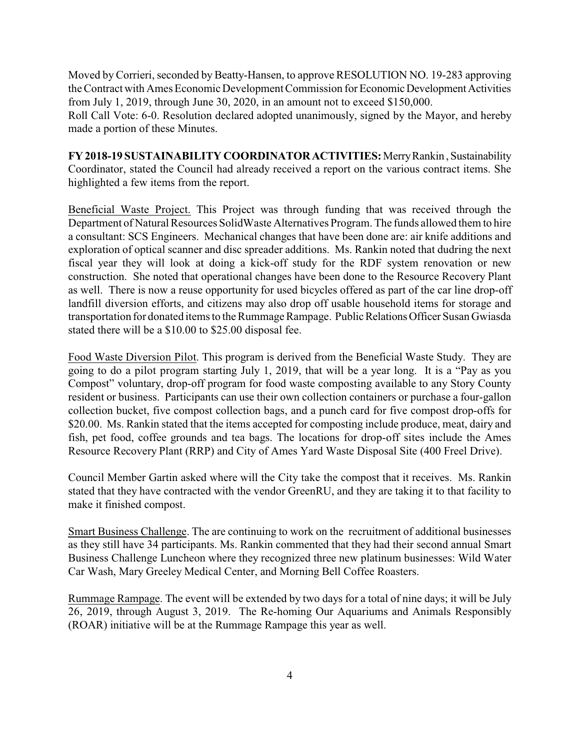Moved by Corrieri, seconded by Beatty-Hansen, to approve RESOLUTION NO. 19-283 approving the Contract with Ames Economic Development Commission for Economic Development Activities from July 1, 2019, through June 30, 2020, in an amount not to exceed \$150,000.

Roll Call Vote: 6-0. Resolution declared adopted unanimously, signed by the Mayor, and hereby made a portion of these Minutes.

**FY 2018-19 SUSTAINABILITY COORDINATORACTIVITIES:**MerryRankin , Sustainability Coordinator, stated the Council had already received a report on the various contract items. She highlighted a few items from the report.

Beneficial Waste Project. This Project was through funding that was received through the Department of Natural Resources SolidWaste Alternatives Program. The funds allowed them to hire a consultant: SCS Engineers. Mechanical changes that have been done are: air knife additions and exploration of optical scanner and disc spreader additions. Ms. Rankin noted that dudring the next fiscal year they will look at doing a kick-off study for the RDF system renovation or new construction. She noted that operational changes have been done to the Resource Recovery Plant as well. There is now a reuse opportunity for used bicycles offered as part of the car line drop-off landfill diversion efforts, and citizens may also drop off usable household items for storage and transportation for donated items to the Rummage Rampage. Public Relations Officer Susan Gwiasda stated there will be a \$10.00 to \$25.00 disposal fee.

Food Waste Diversion Pilot. This program is derived from the Beneficial Waste Study. They are going to do a pilot program starting July 1, 2019, that will be a year long. It is a "Pay as you Compost" voluntary, drop-off program for food waste composting available to any Story County resident or business. Participants can use their own collection containers or purchase a four-gallon collection bucket, five compost collection bags, and a punch card for five compost drop-offs for \$20.00. Ms. Rankin stated that the items accepted for composting include produce, meat, dairy and fish, pet food, coffee grounds and tea bags. The locations for drop-off sites include the Ames Resource Recovery Plant (RRP) and City of Ames Yard Waste Disposal Site (400 Freel Drive).

Council Member Gartin asked where will the City take the compost that it receives. Ms. Rankin stated that they have contracted with the vendor GreenRU, and they are taking it to that facility to make it finished compost.

Smart Business Challenge. The are continuing to work on the recruitment of additional businesses as they still have 34 participants. Ms. Rankin commented that they had their second annual Smart Business Challenge Luncheon where they recognized three new platinum businesses: Wild Water Car Wash, Mary Greeley Medical Center, and Morning Bell Coffee Roasters.

Rummage Rampage. The event will be extended by two days for a total of nine days; it will be July 26, 2019, through August 3, 2019. The Re-homing Our Aquariums and Animals Responsibly (ROAR) initiative will be at the Rummage Rampage this year as well.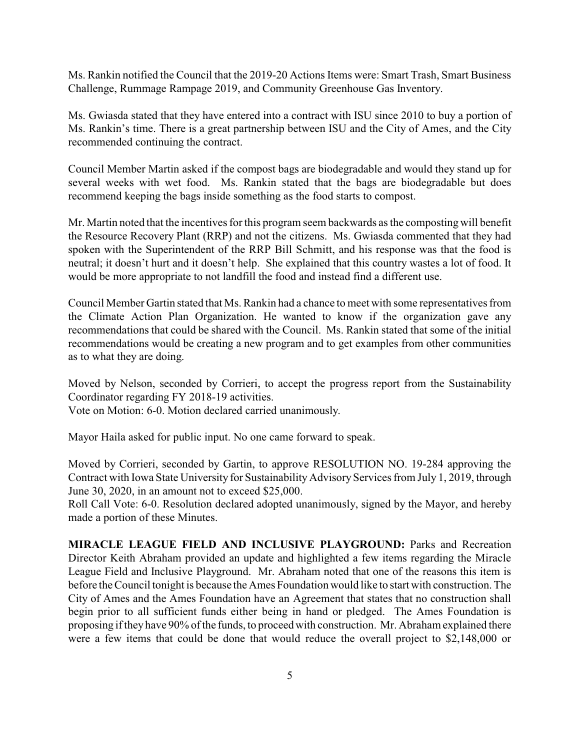Ms. Rankin notified the Council that the 2019-20 Actions Items were: Smart Trash, Smart Business Challenge, Rummage Rampage 2019, and Community Greenhouse Gas Inventory.

Ms. Gwiasda stated that they have entered into a contract with ISU since 2010 to buy a portion of Ms. Rankin's time. There is a great partnership between ISU and the City of Ames, and the City recommended continuing the contract.

Council Member Martin asked if the compost bags are biodegradable and would they stand up for several weeks with wet food. Ms. Rankin stated that the bags are biodegradable but does recommend keeping the bags inside something as the food starts to compost.

Mr. Martin noted that the incentives for this program seem backwards as the composting will benefit the Resource Recovery Plant (RRP) and not the citizens. Ms. Gwiasda commented that they had spoken with the Superintendent of the RRP Bill Schmitt, and his response was that the food is neutral; it doesn't hurt and it doesn't help. She explained that this country wastes a lot of food. It would be more appropriate to not landfill the food and instead find a different use.

Council Member Gartin stated that Ms. Rankin had a chance to meet with some representatives from the Climate Action Plan Organization. He wanted to know if the organization gave any recommendations that could be shared with the Council. Ms. Rankin stated that some of the initial recommendations would be creating a new program and to get examples from other communities as to what they are doing.

Moved by Nelson, seconded by Corrieri, to accept the progress report from the Sustainability Coordinator regarding FY 2018-19 activities.

Vote on Motion: 6-0. Motion declared carried unanimously.

Mayor Haila asked for public input. No one came forward to speak.

Moved by Corrieri, seconded by Gartin, to approve RESOLUTION NO. 19-284 approving the Contract with Iowa State University for Sustainability Advisory Services from July 1, 2019, through June 30, 2020, in an amount not to exceed \$25,000.

Roll Call Vote: 6-0. Resolution declared adopted unanimously, signed by the Mayor, and hereby made a portion of these Minutes.

**MIRACLE LEAGUE FIELD AND INCLUSIVE PLAYGROUND:** Parks and Recreation Director Keith Abraham provided an update and highlighted a few items regarding the Miracle League Field and Inclusive Playground. Mr. Abraham noted that one of the reasons this item is before the Council tonight is because the Ames Foundation would like to start with construction. The City of Ames and the Ames Foundation have an Agreement that states that no construction shall begin prior to all sufficient funds either being in hand or pledged. The Ames Foundation is proposing if they have 90% of the funds, to proceed with construction. Mr. Abraham explained there were a few items that could be done that would reduce the overall project to \$2,148,000 or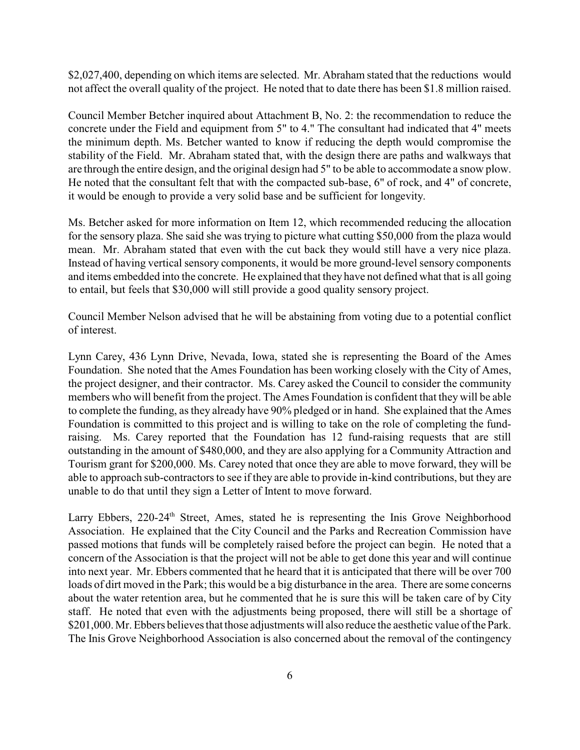\$2,027,400, depending on which items are selected. Mr. Abraham stated that the reductions would not affect the overall quality of the project. He noted that to date there has been \$1.8 million raised.

Council Member Betcher inquired about Attachment B, No. 2: the recommendation to reduce the concrete under the Field and equipment from 5" to 4." The consultant had indicated that 4" meets the minimum depth. Ms. Betcher wanted to know if reducing the depth would compromise the stability of the Field. Mr. Abraham stated that, with the design there are paths and walkways that are through the entire design, and the original design had 5" to be able to accommodate a snow plow. He noted that the consultant felt that with the compacted sub-base, 6" of rock, and 4" of concrete, it would be enough to provide a very solid base and be sufficient for longevity.

Ms. Betcher asked for more information on Item 12, which recommended reducing the allocation for the sensory plaza. She said she was trying to picture what cutting \$50,000 from the plaza would mean. Mr. Abraham stated that even with the cut back they would still have a very nice plaza. Instead of having vertical sensory components, it would be more ground-level sensory components and items embedded into the concrete. He explained that they have not defined what that is all going to entail, but feels that \$30,000 will still provide a good quality sensory project.

Council Member Nelson advised that he will be abstaining from voting due to a potential conflict of interest.

Lynn Carey, 436 Lynn Drive, Nevada, Iowa, stated she is representing the Board of the Ames Foundation. She noted that the Ames Foundation has been working closely with the City of Ames, the project designer, and their contractor. Ms. Carey asked the Council to consider the community members who will benefit from the project. The Ames Foundation is confident that they will be able to complete the funding, as they already have 90% pledged or in hand. She explained that the Ames Foundation is committed to this project and is willing to take on the role of completing the fundraising. Ms. Carey reported that the Foundation has 12 fund-raising requests that are still outstanding in the amount of \$480,000, and they are also applying for a Community Attraction and Tourism grant for \$200,000. Ms. Carey noted that once they are able to move forward, they will be able to approach sub-contractors to see if they are able to provide in-kind contributions, but they are unable to do that until they sign a Letter of Intent to move forward.

Larry Ebbers, 220-24<sup>th</sup> Street, Ames, stated he is representing the Inis Grove Neighborhood Association. He explained that the City Council and the Parks and Recreation Commission have passed motions that funds will be completely raised before the project can begin. He noted that a concern of the Association is that the project will not be able to get done this year and will continue into next year. Mr. Ebbers commented that he heard that it is anticipated that there will be over 700 loads of dirt moved in the Park; this would be a big disturbance in the area. There are some concerns about the water retention area, but he commented that he is sure this will be taken care of by City staff. He noted that even with the adjustments being proposed, there will still be a shortage of \$201,000. Mr. Ebbers believes that those adjustments will also reduce the aesthetic value of the Park. The Inis Grove Neighborhood Association is also concerned about the removal of the contingency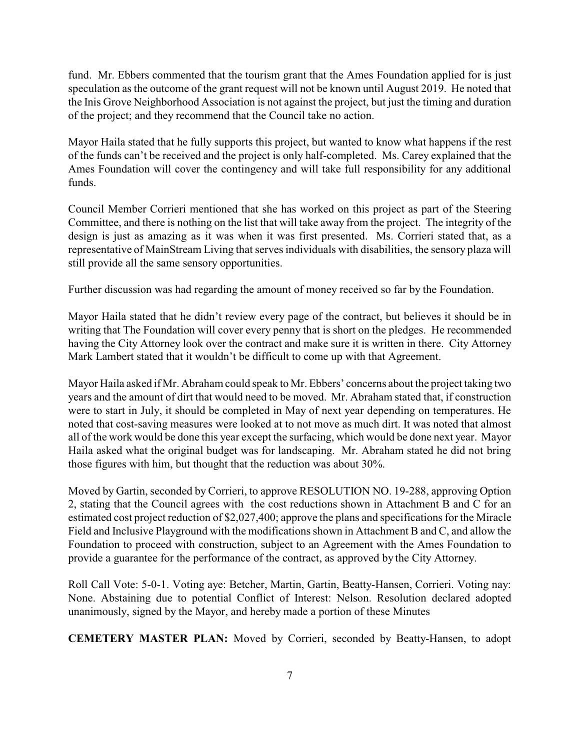fund. Mr. Ebbers commented that the tourism grant that the Ames Foundation applied for is just speculation as the outcome of the grant request will not be known until August 2019. He noted that the Inis Grove Neighborhood Association is not against the project, but just the timing and duration of the project; and they recommend that the Council take no action.

Mayor Haila stated that he fully supports this project, but wanted to know what happens if the rest of the funds can't be received and the project is only half-completed. Ms. Carey explained that the Ames Foundation will cover the contingency and will take full responsibility for any additional funds.

Council Member Corrieri mentioned that she has worked on this project as part of the Steering Committee, and there is nothing on the list that will take away from the project. The integrity of the design is just as amazing as it was when it was first presented. Ms. Corrieri stated that, as a representative of MainStream Living that serves individuals with disabilities, the sensory plaza will still provide all the same sensory opportunities.

Further discussion was had regarding the amount of money received so far by the Foundation.

Mayor Haila stated that he didn't review every page of the contract, but believes it should be in writing that The Foundation will cover every penny that is short on the pledges. He recommended having the City Attorney look over the contract and make sure it is written in there. City Attorney Mark Lambert stated that it wouldn't be difficult to come up with that Agreement.

Mayor Haila asked if Mr. Abraham could speak to Mr. Ebbers' concerns about the project taking two years and the amount of dirt that would need to be moved. Mr. Abraham stated that, if construction were to start in July, it should be completed in May of next year depending on temperatures. He noted that cost-saving measures were looked at to not move as much dirt. It was noted that almost all of the work would be done this year except the surfacing, which would be done next year. Mayor Haila asked what the original budget was for landscaping. Mr. Abraham stated he did not bring those figures with him, but thought that the reduction was about 30%.

Moved by Gartin, seconded by Corrieri, to approve RESOLUTION NO. 19-288, approving Option 2, stating that the Council agrees with the cost reductions shown in Attachment B and C for an estimated cost project reduction of \$2,027,400; approve the plans and specifications for the Miracle Field and Inclusive Playground with the modifications shown in Attachment B and C, and allow the Foundation to proceed with construction, subject to an Agreement with the Ames Foundation to provide a guarantee for the performance of the contract, as approved by the City Attorney.

Roll Call Vote: 5-0-1. Voting aye: Betcher, Martin, Gartin, Beatty-Hansen, Corrieri. Voting nay: None. Abstaining due to potential Conflict of Interest: Nelson. Resolution declared adopted unanimously, signed by the Mayor, and hereby made a portion of these Minutes

**CEMETERY MASTER PLAN:** Moved by Corrieri, seconded by Beatty-Hansen, to adopt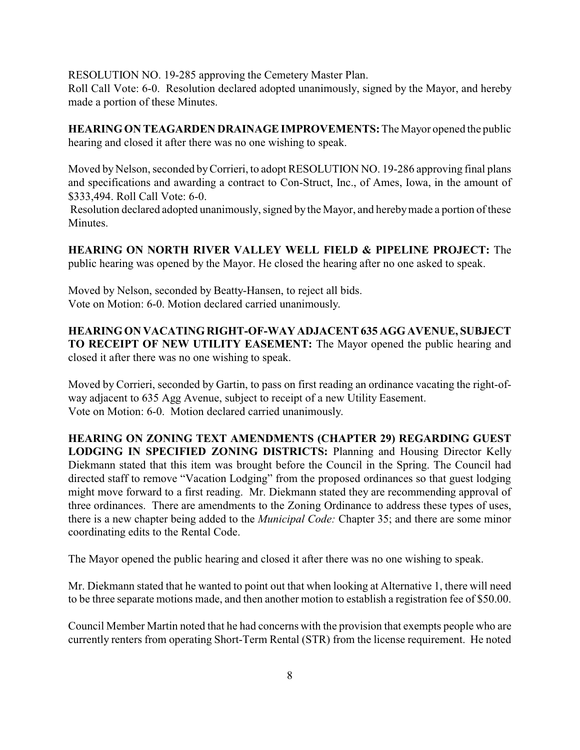RESOLUTION NO. 19-285 approving the Cemetery Master Plan.

Roll Call Vote: 6-0. Resolution declared adopted unanimously, signed by the Mayor, and hereby made a portion of these Minutes.

**HEARINGON TEAGARDEN DRAINAGE IMPROVEMENTS:**The Mayor opened the public hearing and closed it after there was no one wishing to speak.

Moved by Nelson, seconded byCorrieri, to adopt RESOLUTION NO. 19-286 approving final plans and specifications and awarding a contract to Con-Struct, Inc., of Ames, Iowa, in the amount of \$333,494. Roll Call Vote: 6-0.

Resolution declared adopted unanimously, signed by the Mayor, and herebymade a portion of these **Minutes** 

**HEARING ON NORTH RIVER VALLEY WELL FIELD & PIPELINE PROJECT:** The public hearing was opened by the Mayor. He closed the hearing after no one asked to speak.

Moved by Nelson, seconded by Beatty-Hansen, to reject all bids. Vote on Motion: 6-0. Motion declared carried unanimously.

**HEARINGON VACATINGRIGHT-OF-WAY ADJACENT 635 AGG AVENUE, SUBJECT TO RECEIPT OF NEW UTILITY EASEMENT:** The Mayor opened the public hearing and closed it after there was no one wishing to speak.

Moved by Corrieri, seconded by Gartin, to pass on first reading an ordinance vacating the right-ofway adjacent to 635 Agg Avenue, subject to receipt of a new Utility Easement. Vote on Motion: 6-0. Motion declared carried unanimously.

**HEARING ON ZONING TEXT AMENDMENTS (CHAPTER 29) REGARDING GUEST LODGING IN SPECIFIED ZONING DISTRICTS:** Planning and Housing Director Kelly Diekmann stated that this item was brought before the Council in the Spring. The Council had directed staff to remove "Vacation Lodging" from the proposed ordinances so that guest lodging might move forward to a first reading. Mr. Diekmann stated they are recommending approval of three ordinances. There are amendments to the Zoning Ordinance to address these types of uses, there is a new chapter being added to the *Municipal Code:* Chapter 35; and there are some minor coordinating edits to the Rental Code.

The Mayor opened the public hearing and closed it after there was no one wishing to speak.

Mr. Diekmann stated that he wanted to point out that when looking at Alternative 1, there will need to be three separate motions made, and then another motion to establish a registration fee of \$50.00.

Council Member Martin noted that he had concerns with the provision that exempts people who are currently renters from operating Short-Term Rental (STR) from the license requirement. He noted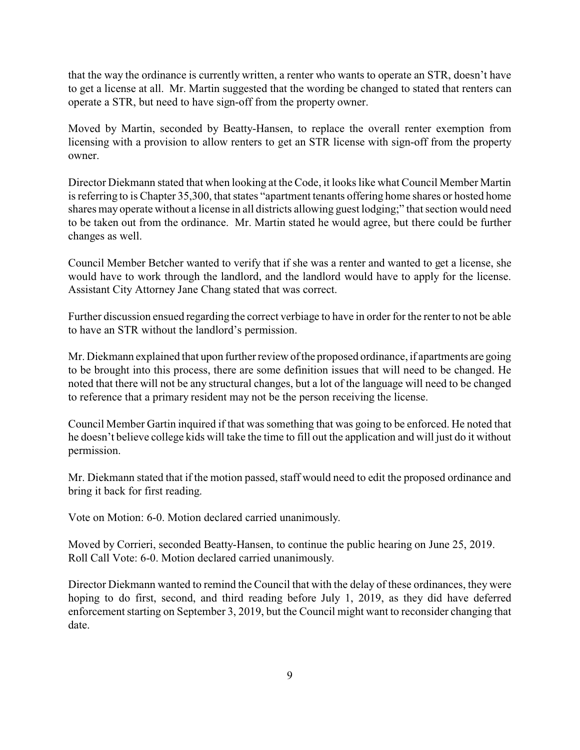that the way the ordinance is currently written, a renter who wants to operate an STR, doesn't have to get a license at all. Mr. Martin suggested that the wording be changed to stated that renters can operate a STR, but need to have sign-off from the property owner.

Moved by Martin, seconded by Beatty-Hansen, to replace the overall renter exemption from licensing with a provision to allow renters to get an STR license with sign-off from the property owner.

Director Diekmann stated that when looking at the Code, it looks like what Council Member Martin is referring to is Chapter 35,300, that states "apartment tenants offering home shares or hosted home shares may operate without a license in all districts allowing guest lodging;" that section would need to be taken out from the ordinance. Mr. Martin stated he would agree, but there could be further changes as well.

Council Member Betcher wanted to verify that if she was a renter and wanted to get a license, she would have to work through the landlord, and the landlord would have to apply for the license. Assistant City Attorney Jane Chang stated that was correct.

Further discussion ensued regarding the correct verbiage to have in order for the renter to not be able to have an STR without the landlord's permission.

Mr. Diekmann explained that upon further review of the proposed ordinance, if apartments are going to be brought into this process, there are some definition issues that will need to be changed. He noted that there will not be any structural changes, but a lot of the language will need to be changed to reference that a primary resident may not be the person receiving the license.

Council Member Gartin inquired if that was something that was going to be enforced. He noted that he doesn't believe college kids will take the time to fill out the application and will just do it without permission.

Mr. Diekmann stated that if the motion passed, staff would need to edit the proposed ordinance and bring it back for first reading.

Vote on Motion: 6-0. Motion declared carried unanimously.

Moved by Corrieri, seconded Beatty-Hansen, to continue the public hearing on June 25, 2019. Roll Call Vote: 6-0. Motion declared carried unanimously.

Director Diekmann wanted to remind the Council that with the delay of these ordinances, they were hoping to do first, second, and third reading before July 1, 2019, as they did have deferred enforcement starting on September 3, 2019, but the Council might want to reconsider changing that date.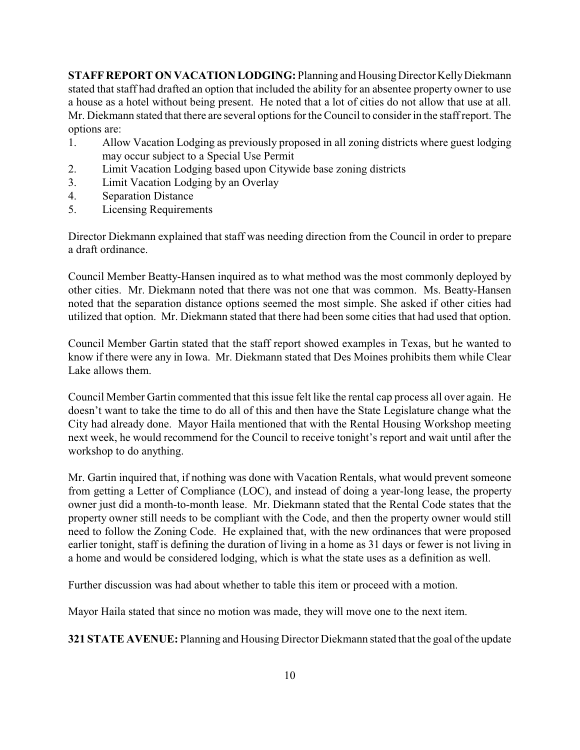**STAFF REPORT ON VACATION LODGING:** Planning and HousingDirector KellyDiekmann stated that staff had drafted an option that included the ability for an absentee property owner to use a house as a hotel without being present. He noted that a lot of cities do not allow that use at all. Mr. Diekmann stated that there are several options for the Council to consider in the staff report. The options are:

- 1. Allow Vacation Lodging as previously proposed in all zoning districts where guest lodging may occur subject to a Special Use Permit
- 2. Limit Vacation Lodging based upon Citywide base zoning districts
- 3. Limit Vacation Lodging by an Overlay
- 4. Separation Distance
- 5. Licensing Requirements

Director Diekmann explained that staff was needing direction from the Council in order to prepare a draft ordinance.

Council Member Beatty-Hansen inquired as to what method was the most commonly deployed by other cities. Mr. Diekmann noted that there was not one that was common. Ms. Beatty-Hansen noted that the separation distance options seemed the most simple. She asked if other cities had utilized that option. Mr. Diekmann stated that there had been some cities that had used that option.

Council Member Gartin stated that the staff report showed examples in Texas, but he wanted to know if there were any in Iowa. Mr. Diekmann stated that Des Moines prohibits them while Clear Lake allows them.

Council Member Gartin commented that this issue felt like the rental cap process all over again. He doesn't want to take the time to do all of this and then have the State Legislature change what the City had already done. Mayor Haila mentioned that with the Rental Housing Workshop meeting next week, he would recommend for the Council to receive tonight's report and wait until after the workshop to do anything.

Mr. Gartin inquired that, if nothing was done with Vacation Rentals, what would prevent someone from getting a Letter of Compliance (LOC), and instead of doing a year-long lease, the property owner just did a month-to-month lease. Mr. Diekmann stated that the Rental Code states that the property owner still needs to be compliant with the Code, and then the property owner would still need to follow the Zoning Code. He explained that, with the new ordinances that were proposed earlier tonight, staff is defining the duration of living in a home as 31 days or fewer is not living in a home and would be considered lodging, which is what the state uses as a definition as well.

Further discussion was had about whether to table this item or proceed with a motion.

Mayor Haila stated that since no motion was made, they will move one to the next item.

**321 STATE AVENUE:** Planning and Housing Director Diekmann stated that the goal of the update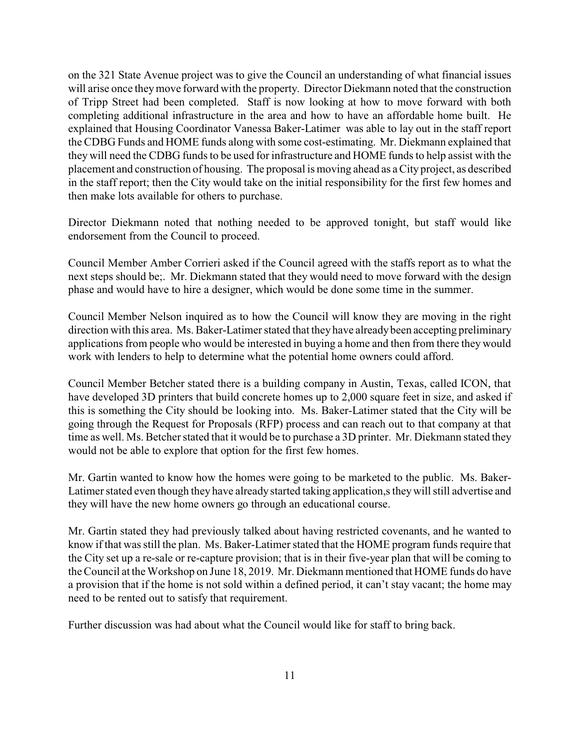on the 321 State Avenue project was to give the Council an understanding of what financial issues will arise once theymove forward with the property. Director Diekmann noted that the construction of Tripp Street had been completed. Staff is now looking at how to move forward with both completing additional infrastructure in the area and how to have an affordable home built. He explained that Housing Coordinator Vanessa Baker-Latimer was able to lay out in the staff report the CDBG Funds and HOME funds along with some cost-estimating. Mr. Diekmann explained that they will need the CDBG funds to be used for infrastructure and HOME funds to help assist with the placement and construction of housing. The proposal is moving ahead as aCity project, as described in the staff report; then the City would take on the initial responsibility for the first few homes and then make lots available for others to purchase.

Director Diekmann noted that nothing needed to be approved tonight, but staff would like endorsement from the Council to proceed.

Council Member Amber Corrieri asked if the Council agreed with the staffs report as to what the next steps should be;. Mr. Diekmann stated that they would need to move forward with the design phase and would have to hire a designer, which would be done some time in the summer.

Council Member Nelson inquired as to how the Council will know they are moving in the right direction with this area. Ms. Baker-Latimer stated that they have alreadybeen accepting preliminary applications from people who would be interested in buying a home and then from there they would work with lenders to help to determine what the potential home owners could afford.

Council Member Betcher stated there is a building company in Austin, Texas, called ICON, that have developed 3D printers that build concrete homes up to 2,000 square feet in size, and asked if this is something the City should be looking into. Ms. Baker-Latimer stated that the City will be going through the Request for Proposals (RFP) process and can reach out to that company at that time as well. Ms. Betcher stated that it would be to purchase a 3D printer. Mr. Diekmann stated they would not be able to explore that option for the first few homes.

Mr. Gartin wanted to know how the homes were going to be marketed to the public. Ms. Baker-Latimer stated even though they have already started taking application,s theywill still advertise and they will have the new home owners go through an educational course.

Mr. Gartin stated they had previously talked about having restricted covenants, and he wanted to know if that was still the plan. Ms. Baker-Latimer stated that the HOME program funds require that the City set up a re-sale or re-capture provision; that is in their five-year plan that will be coming to the Council at the Workshop on June 18, 2019. Mr. Diekmann mentioned that HOME funds do have a provision that if the home is not sold within a defined period, it can't stay vacant; the home may need to be rented out to satisfy that requirement.

Further discussion was had about what the Council would like for staff to bring back.